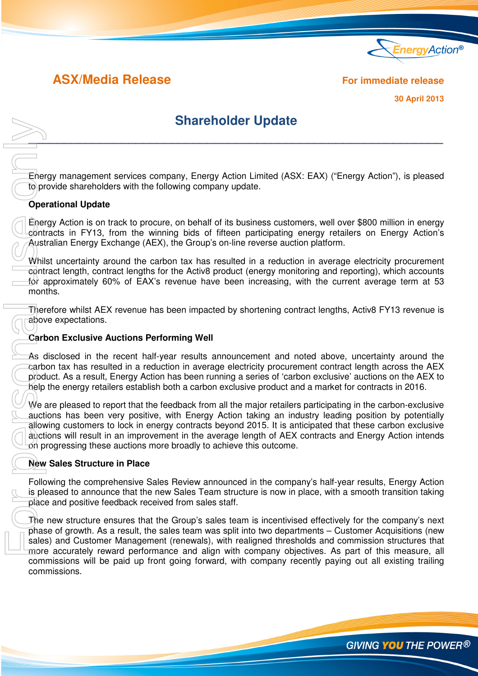

# **ASX/Media Release For immediate release**

**30 April 2013**

**GIVING YOU THE POWER®** 

# **Shareholder Update**

Energy management services company, Energy Action Limited (ASX: EAX) ("Energy Action"), is pleased to provide shareholders with the following company update.

#### **Operational Update**

Energy Action is on track to procure, on behalf of its business customers, well over \$800 million in energy contracts in FY13, from the winning bids of fifteen participating energy retailers on Energy Action's Australian Energy Exchange (AEX), the Group's on-line reverse auction platform.

Whilst uncertainty around the carbon tax has resulted in a reduction in average electricity procurement contract length, contract lengths for the Activ8 product (energy monitoring and reporting), which accounts for approximately 60% of EAX's revenue have been increasing, with the current average term at 53 months.

Therefore whilst AEX revenue has been impacted by shortening contract lengths, Activ8 FY13 revenue is above expectations.

### **Carbon Exclusive Auctions Performing Well**

As disclosed in the recent half-year results announcement and noted above, uncertainty around the carbon tax has resulted in a reduction in average electricity procurement contract length across the AEX product. As a result, Energy Action has been running a series of 'carbon exclusive' auctions on the AEX to help the energy retailers establish both a carbon exclusive product and a market for contracts in 2016.

We are pleased to report that the feedback from all the major retailers participating in the carbon-exclusive auctions has been very positive, with Energy Action taking an industry leading position by potentially allowing customers to lock in energy contracts beyond 2015. It is anticipated that these carbon exclusive auctions will result in an improvement in the average length of AEX contracts and Energy Action intends on progressing these auctions more broadly to achieve this outcome.

#### **New Sales Structure in Place**

Following the comprehensive Sales Review announced in the company's half-year results, Energy Action is pleased to announce that the new Sales Team structure is now in place, with a smooth transition taking place and positive feedback received from sales staff.

The new structure ensures that the Group's sales team is incentivised effectively for the company's next phase of growth. As a result, the sales team was split into two departments – Customer Acquisitions (new sales) and Customer Management (renewals), with realigned thresholds and commission structures that more accurately reward performance and align with company objectives. As part of this measure, all commissions will be paid up front going forward, with company recently paying out all existing trailing commissions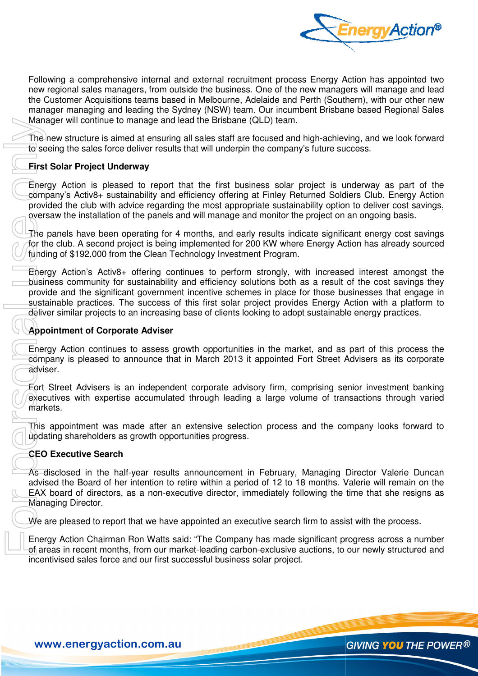

Following a comprehensive internal and external recruitment process Energy Action has appointed two new regional sales managers, from outside the business. One of the new managers will manage and lead the Customer Acquisitions teams based in Melbourne, Adelaide and Perth (Southern) (Southern), with our other new manager managing and leading the Sydney (NSW) team. Our incumbent Brisbane based Regional Sales Manager will continue to manage and lead the Brisbane (QLD) team.

The new structure is aimed at ensuring all sales staff are focused and high-achieving, and we look forward to seeing the sales force deliver results that will underpin the company's future success.

### **First Solar Project Underway**

Energy Action is pleased to report that the first business solar project is underway as part of the company's Activ8+ sustainability and efficiency offering at Finley Returned Soldiers Club. provided the club with advice regarding the most appropriate sustainability option to deliver cost savings, oversaw the installation of the panels and will manage and monitor the project on an ongoing basis. Sydney (NSW) team. Our incumbent Brisbane based Regional Sales<br>I lead the Brisbane (QLD) team.<br>Ig all sales staff are focused and high-achieving, and we look forward<br>ts that will underpin the company's future success.<br>Itha

The panels have been operating for 4 months, and early results indicate significant energy cost savings for the club. A second project is being implemented for 200 KW where Energy Action has already sourced funding of \$192,000 from the Clean Technology Investment Program.

Energy Action's Activ8+ offering continues to perform strongly, with increased interest amongst the business community for sustainability and efficiency solutions both as a result of the cost savings they provide and the significant government incentive schemes in place for those busine businesses that engage in sustainable practices. The success of this first solar project provides Energy Action with a platform to deliver similar projects to an increasing base of clients looking to adopt sustainable energy practices.

## **Appointment of Corporate Adviser**

Energy Action continues to assess growth opportunities in the market, and as part of this process the company is pleased to announce that in March 2013 it appointed Fort Street Advisers as its corporate adviser.

Fort Street Advisers is an independent corporate advisory firm, comprising senior investment banking executives with expertise accumulated through leading a large volume of transactions through varied markets.

This appointment was made after an extensive selection process and the company looks forward to updating shareholders as growth opportunities progress.

## **CEO Executive Search**

As disclosed in the half-year results announcement in February, Managing Director Valerie Duncan advised the Board of her intention to retire within a period of 12 to 18 months. Valerie will remain on the EAX board of directors, as a non-executive director, immediately following the time that she resigns as Managing Director. EAX board of directors, as a non-executive director, immediately following the time that she resigr<br>Managing Director.<br>We are pleased to report that we have appointed an executive search firm to assist with the process.

Energy Action Chairman Ron Watts said: "The Company has made significant progress across a number of areas in recent months, from our market-leading carbon-exclusive auctions, to our newly structured and incentivised sales force and our first successful business solar project.

www.energyaction.com.au

**GIVING YOU THE POWER®**